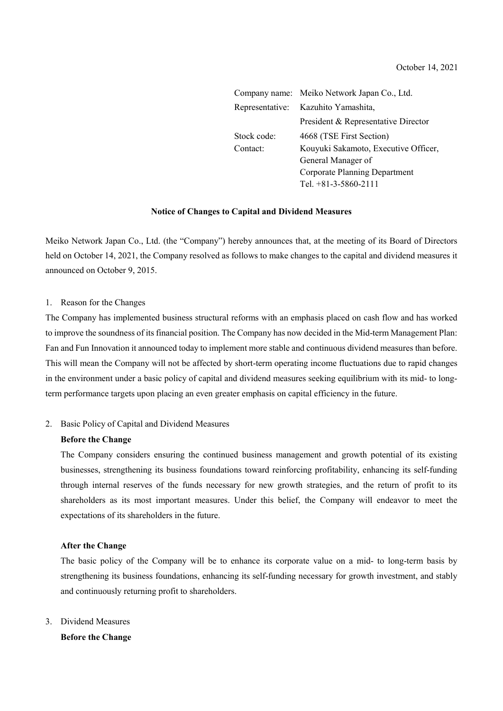|             | Company name: Meiko Network Japan Co., Ltd. |  |  |
|-------------|---------------------------------------------|--|--|
|             | Representative: Kazuhito Yamashita,         |  |  |
|             | President & Representative Director         |  |  |
| Stock code: | 4668 (TSE First Section)                    |  |  |
| Contact:    | Kouyuki Sakamoto, Executive Officer,        |  |  |
|             | General Manager of                          |  |  |
|             | Corporate Planning Department               |  |  |
|             | Tel. $+81-3-5860-2111$                      |  |  |

#### **Notice of Changes to Capital and Dividend Measures**

Meiko Network Japan Co., Ltd. (the "Company") hereby announces that, at the meeting of its Board of Directors held on October 14, 2021, the Company resolved as follows to make changes to the capital and dividend measures it announced on October 9, 2015.

#### 1. Reason for the Changes

The Company has implemented business structural reforms with an emphasis placed on cash flow and has worked to improve the soundness of its financial position. The Company has now decided in the Mid-term Management Plan: Fan and Fun Innovation it announced today to implement more stable and continuous dividend measures than before. This will mean the Company will not be affected by short-term operating income fluctuations due to rapid changes in the environment under a basic policy of capital and dividend measures seeking equilibrium with its mid- to longterm performance targets upon placing an even greater emphasis on capital efficiency in the future.

#### 2. Basic Policy of Capital and Dividend Measures

#### **Before the Change**

The Company considers ensuring the continued business management and growth potential of its existing businesses, strengthening its business foundations toward reinforcing profitability, enhancing its self-funding through internal reserves of the funds necessary for new growth strategies, and the return of profit to its shareholders as its most important measures. Under this belief, the Company will endeavor to meet the expectations of its shareholders in the future.

#### **After the Change**

The basic policy of the Company will be to enhance its corporate value on a mid- to long-term basis by strengthening its business foundations, enhancing its self-funding necessary for growth investment, and stably and continuously returning profit to shareholders.

3. Dividend Measures

**Before the Change**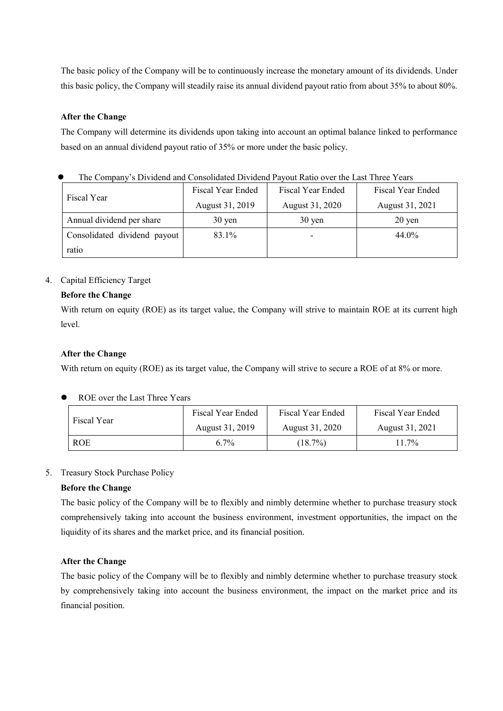The basic policy of the Company will be to continuously increase the monetary amount of its dividends. Under this basic policy, the Company will steadily raise its annual dividend payout ratio from about 35% to about 80%.

### **After the Change**

The Company will determine its dividends upon taking into account an optimal balance linked to performance based on an annual dividend payout ratio of 35% or more under the basic policy.

| The Company & Dividend and Consondated Dividend I ayout Kano over the Last Three Teats |                   |                     |                     |  |  |
|----------------------------------------------------------------------------------------|-------------------|---------------------|---------------------|--|--|
| Fiscal Year                                                                            | Fiscal Year Ended | Fiscal Year Ended   | Fiscal Year Ended   |  |  |
|                                                                                        | August 31, 2019   | August 31, 2020     | August 31, 2021     |  |  |
| Annual dividend per share                                                              | $30 \text{ yen}$  | $30 \,\mathrm{yen}$ | $20 \,\mathrm{yen}$ |  |  |
| Consolidated dividend payout                                                           | 83.1%             |                     | 44.0%               |  |  |
| ratio                                                                                  |                   |                     |                     |  |  |

The Company's Dividend and Consolidated Dividend Payout Ratio over the Last Three Years

### 4. Capital Efficiency Target

## **Before the Change**

With return on equity (ROE) as its target value, the Company will strive to maintain ROE at its current high level.

## **After the Change**

With return on equity (ROE) as its target value, the Company will strive to secure a ROE of at 8% or more.

ROE over the Last Three Years

| Fiscal Year | Fiscal Year Ended | Fiscal Year Ended | Fiscal Year Ended |
|-------------|-------------------|-------------------|-------------------|
|             | August 31, 2019   | August 31, 2020   | August 31, 2021   |
| ROE         | $6.7\%$           | $(18.7\%)$        | $11.7\%$          |

### 5. Treasury Stock Purchase Policy

### **Before the Change**

The basic policy of the Company will be to flexibly and nimbly determine whether to purchase treasury stock comprehensively taking into account the business environment, investment opportunities, the impact on the liquidity of its shares and the market price, and its financial position.

### **After the Change**

The basic policy of the Company will be to flexibly and nimbly determine whether to purchase treasury stock by comprehensively taking into account the business environment, the impact on the market price and its financial position.